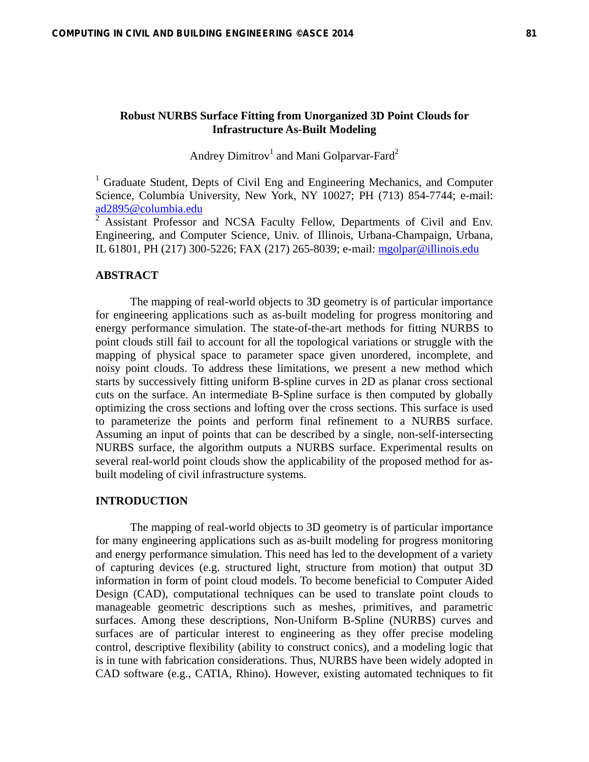# **Robust NURBS Surface Fitting from Unorganized 3D Point Clouds for Infrastructure As-Built Modeling**

Andrey Dimitrov<sup>1</sup> and Mani Golparvar-Fard<sup>2</sup>

<sup>1</sup> Graduate Student, Depts of Civil Eng and Engineering Mechanics, and Computer Science, Columbia University, New York, NY 10027; PH (713) 854-7744; e-mail: ad2895@columbia.edu<br><sup>2</sup> Assistant Professor and NCSA Faculty Fellow, Departments of Civil and Env.

Engineering, and Computer Science, Univ. of Illinois, Urbana-Champaign, Urbana, IL 61801, PH (217) 300-5226; FAX (217) 265-8039; e-mail: mgolpar@illinois.edu

### **ABSTRACT**

The mapping of real-world objects to 3D geometry is of particular importance for engineering applications such as as-built modeling for progress monitoring and energy performance simulation. The state-of-the-art methods for fitting NURBS to point clouds still fail to account for all the topological variations or struggle with the mapping of physical space to parameter space given unordered, incomplete, and noisy point clouds. To address these limitations, we present a new method which starts by successively fitting uniform B-spline curves in 2D as planar cross sectional cuts on the surface. An intermediate B-Spline surface is then computed by globally optimizing the cross sections and lofting over the cross sections. This surface is used to parameterize the points and perform final refinement to a NURBS surface. Assuming an input of points that can be described by a single, non-self-intersecting NURBS surface, the algorithm outputs a NURBS surface. Experimental results on several real-world point clouds show the applicability of the proposed method for asbuilt modeling of civil infrastructure systems.

#### **INTRODUCTION**

The mapping of real-world objects to 3D geometry is of particular importance for many engineering applications such as as-built modeling for progress monitoring and energy performance simulation. This need has led to the development of a variety of capturing devices (e.g. structured light, structure from motion) that output 3D information in form of point cloud models. To become beneficial to Computer Aided Design (CAD), computational techniques can be used to translate point clouds to manageable geometric descriptions such as meshes, primitives, and parametric surfaces. Among these descriptions, Non-Uniform B-Spline (NURBS) curves and surfaces are of particular interest to engineering as they offer precise modeling control, descriptive flexibility (ability to construct conics), and a modeling logic that is in tune with fabrication considerations. Thus, NURBS have been widely adopted in CAD software (e.g., CATIA, Rhino). However, existing automated techniques to fit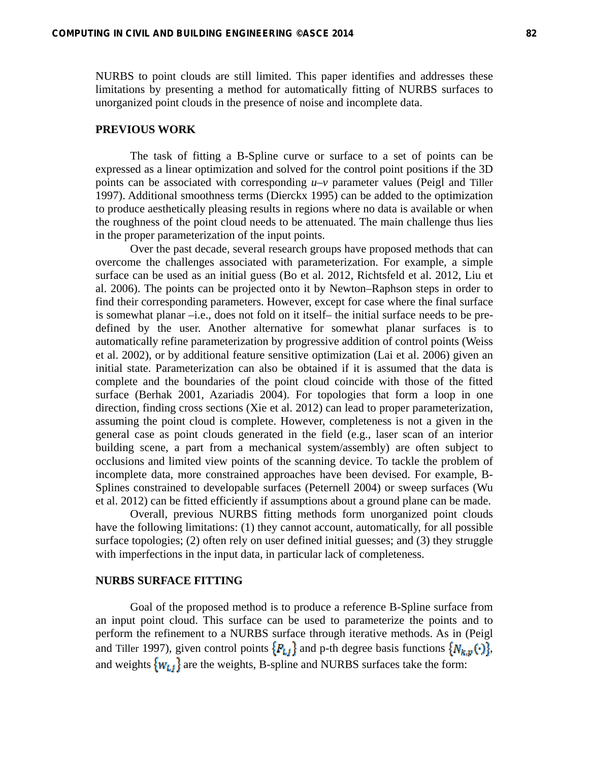NURBS to point clouds are still limited. This paper identifies and addresses these limitations by presenting a method for automatically fitting of NURBS surfaces to unorganized point clouds in the presence of noise and incomplete data.

### **PREVIOUS WORK**

The task of fitting a B-Spline curve or surface to a set of points can be expressed as a linear optimization and solved for the control point positions if the 3D points can be associated with corresponding *u–v* parameter values (Peigl and Tiller 1997). Additional smoothness terms (Dierckx 1995) can be added to the optimization to produce aesthetically pleasing results in regions where no data is available or when the roughness of the point cloud needs to be attenuated. The main challenge thus lies in the proper parameterization of the input points.

Over the past decade, several research groups have proposed methods that can overcome the challenges associated with parameterization. For example, a simple surface can be used as an initial guess (Bo et al. 2012, Richtsfeld et al. 2012, Liu et al. 2006). The points can be projected onto it by Newton–Raphson steps in order to find their corresponding parameters. However, except for case where the final surface is somewhat planar –i.e., does not fold on it itself– the initial surface needs to be predefined by the user. Another alternative for somewhat planar surfaces is to automatically refine parameterization by progressive addition of control points (Weiss et al. 2002), or by additional feature sensitive optimization (Lai et al. 2006) given an initial state. Parameterization can also be obtained if it is assumed that the data is complete and the boundaries of the point cloud coincide with those of the fitted surface (Berhak 2001, Azariadis 2004). For topologies that form a loop in one direction, finding cross sections (Xie et al. 2012) can lead to proper parameterization, assuming the point cloud is complete. However, completeness is not a given in the general case as point clouds generated in the field (e.g., laser scan of an interior building scene, a part from a mechanical system/assembly) are often subject to occlusions and limited view points of the scanning device. To tackle the problem of incomplete data, more constrained approaches have been devised. For example, B-Splines constrained to developable surfaces (Peternell 2004) or sweep surfaces (Wu et al. 2012) can be fitted efficiently if assumptions about a ground plane can be made.

Overall, previous NURBS fitting methods form unorganized point clouds have the following limitations: (1) they cannot account, automatically, for all possible surface topologies; (2) often rely on user defined initial guesses; and (3) they struggle with imperfections in the input data, in particular lack of completeness.

### **NURBS SURFACE FITTING**

Goal of the proposed method is to produce a reference B-Spline surface from an input point cloud. This surface can be used to parameterize the points and to perform the refinement to a NURBS surface through iterative methods. As in (Peigl and Tiller 1997), given control points  $\{P_{i,j}\}$  and p-th degree basis functions  $\{N_{k,p}(\cdot)\}$ , and weights  $\{w_{t,t}\}$  are the weights, B-spline and NURBS surfaces take the form: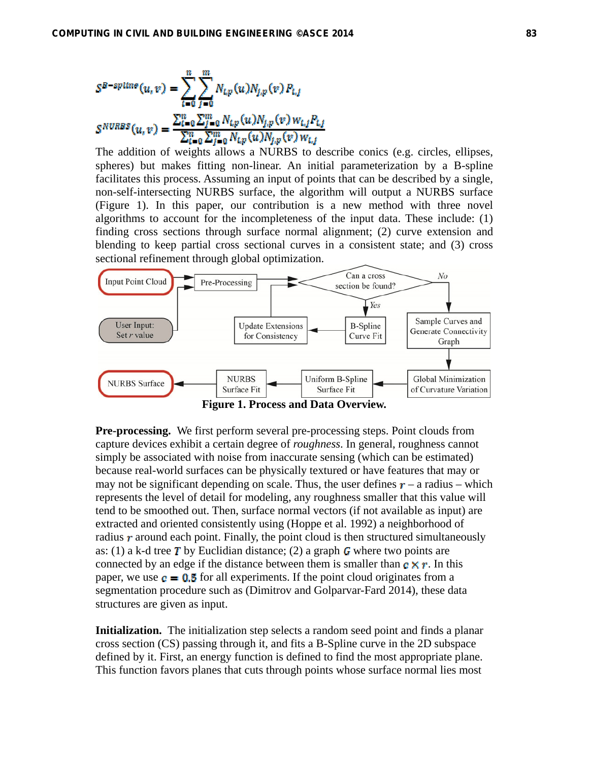$$
S^{B-spline}(u,v) = \sum_{l=0}^{n} \sum_{j=0}^{m} N_{l,p}(u) N_{j,p}(v) P_{l,j}
$$
  

$$
S^{NURBS}(u,v) = \frac{\sum_{l=0}^{n} \sum_{j=0}^{m} N_{l,p}(u) N_{j,p}(v) W_{l,j} P_{l,j}}{\sum_{l=0}^{n} \sum_{j=0}^{m} N_{l,p}(u) N_{j,p}(v) W_{l,j}}
$$

The addition of weights allows a NURBS to describe conics (e.g. circles, ellipses, spheres) but makes fitting non-linear. An initial parameterization by a B-spline facilitates this process. Assuming an input of points that can be described by a single, non-self-intersecting NURBS surface, the algorithm will output a NURBS surface (Figure 1). In this paper, our contribution is a new method with three novel algorithms to account for the incompleteness of the input data. These include: (1) finding cross sections through surface normal alignment; (2) curve extension and blending to keep partial cross sectional curves in a consistent state; and (3) cross sectional refinement through global optimization.





**Pre-processing.** We first perform several pre-processing steps. Point clouds from capture devices exhibit a certain degree of *roughness*. In general, roughness cannot simply be associated with noise from inaccurate sensing (which can be estimated) because real-world surfaces can be physically textured or have features that may or may not be significant depending on scale. Thus, the user defines  $r - a$  radius – which represents the level of detail for modeling, any roughness smaller that this value will tend to be smoothed out. Then, surface normal vectors (if not available as input) are extracted and oriented consistently using (Hoppe et al. 1992) a neighborhood of radius  $r$  around each point. Finally, the point cloud is then structured simultaneously as: (1) a k-d tree T by Euclidian distance; (2) a graph G where two points are connected by an edge if the distance between them is smaller than  $\mathbf{c} \times \mathbf{r}$ . In this paper, we use  $\mathbf{c} = \mathbf{0.5}$  for all experiments. If the point cloud originates from a segmentation procedure such as (Dimitrov and Golparvar-Fard 2014), these data structures are given as input.

**Initialization.** The initialization step selects a random seed point and finds a planar cross section (CS) passing through it, and fits a B-Spline curve in the 2D subspace defined by it. First, an energy function is defined to find the most appropriate plane. This function favors planes that cuts through points whose surface normal lies most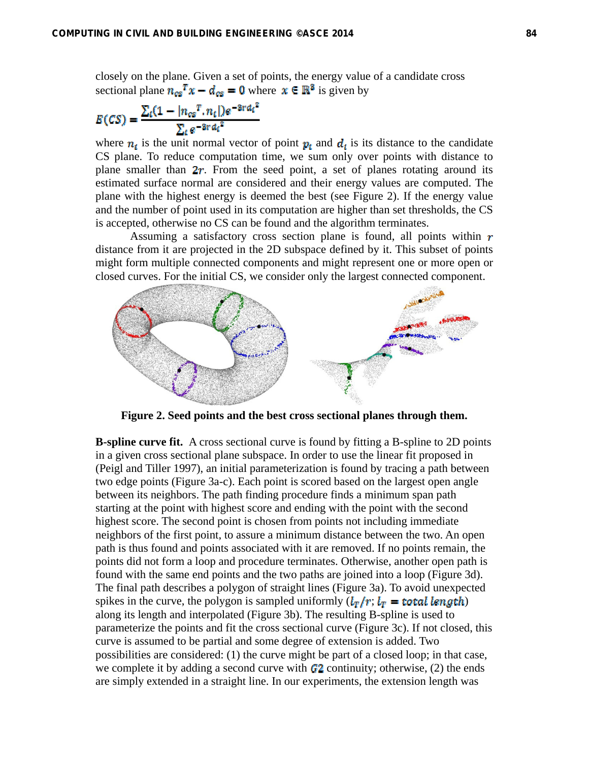closely on the plane. Given a set of points, the energy value of a candidate cross sectional plane  $n_{cs}T x - d_{cs} = 0$  where  $x \in \mathbb{R}^3$  is given by

$$
E(CS) = \frac{\sum_{t} (1 - |n_{cs}^{T} \cdot n_{t}|) e^{-3r d_{t}^{2}}}{\sum_{t} e^{-3r d_{t}^{2}}}
$$

where  $n_i$  is the unit normal vector of point  $p_i$  and  $d_i$  is its distance to the candidate CS plane. To reduce computation time, we sum only over points with distance to plane smaller than  $2r$ . From the seed point, a set of planes rotating around its estimated surface normal are considered and their energy values are computed. The plane with the highest energy is deemed the best (see Figure 2). If the energy value and the number of point used in its computation are higher than set thresholds, the CS is accepted, otherwise no CS can be found and the algorithm terminates.

Assuming a satisfactory cross section plane is found, all points within  $r$ distance from it are projected in the 2D subspace defined by it. This subset of points might form multiple connected components and might represent one or more open or closed curves. For the initial CS, we consider only the largest connected component.



**Figure 2. Seed points and the best cross sectional planes through them.** 

**B-spline curve fit.** A cross sectional curve is found by fitting a B-spline to 2D points in a given cross sectional plane subspace. In order to use the linear fit proposed in (Peigl and Tiller 1997), an initial parameterization is found by tracing a path between two edge points (Figure 3a-c). Each point is scored based on the largest open angle between its neighbors. The path finding procedure finds a minimum span path starting at the point with highest score and ending with the point with the second highest score. The second point is chosen from points not including immediate neighbors of the first point, to assure a minimum distance between the two. An open path is thus found and points associated with it are removed. If no points remain, the points did not form a loop and procedure terminates. Otherwise, another open path is found with the same end points and the two paths are joined into a loop (Figure 3d). The final path describes a polygon of straight lines (Figure 3a). To avoid unexpected spikes in the curve, the polygon is sampled uniformly  $(l_T/r; l_T = \text{total length})$ along its length and interpolated (Figure 3b). The resulting B-spline is used to parameterize the points and fit the cross sectional curve (Figure 3c). If not closed, this curve is assumed to be partial and some degree of extension is added. Two possibilities are considered: (1) the curve might be part of a closed loop; in that case, we complete it by adding a second curve with  $\mathcal{C}_2$  continuity; otherwise, (2) the ends are simply extended in a straight line. In our experiments, the extension length was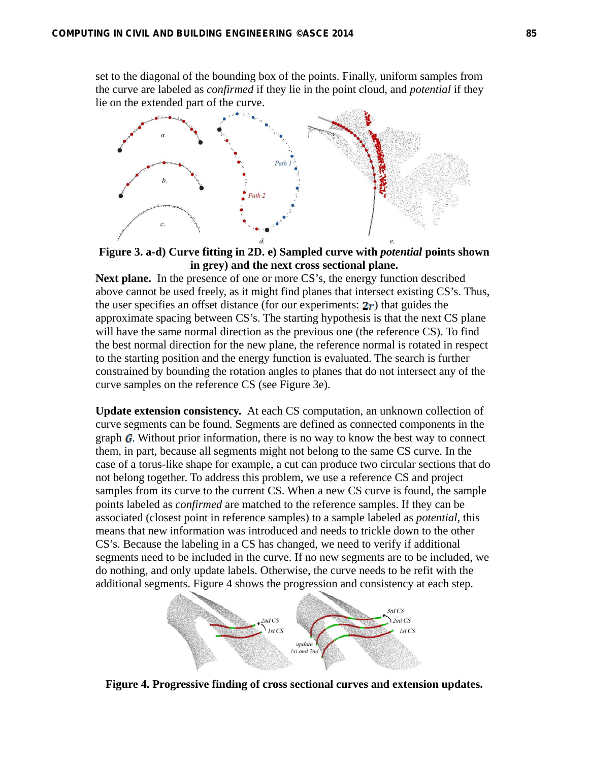set to the diagonal of the bounding box of the points. Finally, uniform samples from the curve are labeled as *confirmed* if they lie in the point cloud, and *potential* if they lie on the extended part of the curve.



**Figure 3. a-d) Curve fitting in 2D. e) Sampled curve with** *potential* **points shown in grey) and the next cross sectional plane.** 

Next plane. In the presence of one or more CS's, the energy function described above cannot be used freely, as it might find planes that intersect existing CS's. Thus, the user specifies an offset distance (for our experiments:  $2r$ ) that guides the approximate spacing between CS's. The starting hypothesis is that the next CS plane will have the same normal direction as the previous one (the reference CS). To find the best normal direction for the new plane, the reference normal is rotated in respect to the starting position and the energy function is evaluated. The search is further constrained by bounding the rotation angles to planes that do not intersect any of the curve samples on the reference CS (see Figure 3e).

**Update extension consistency.** At each CS computation, an unknown collection of curve segments can be found. Segments are defined as connected components in the graph *. Without prior information, there is no way to know the best way to connect* them, in part, because all segments might not belong to the same CS curve. In the case of a torus-like shape for example, a cut can produce two circular sections that do not belong together. To address this problem, we use a reference CS and project samples from its curve to the current CS. When a new CS curve is found, the sample points labeled as *confirmed* are matched to the reference samples. If they can be associated (closest point in reference samples) to a sample labeled as *potential*, this means that new information was introduced and needs to trickle down to the other CS's. Because the labeling in a CS has changed, we need to verify if additional segments need to be included in the curve. If no new segments are to be included, we do nothing, and only update labels. Otherwise, the curve needs to be refit with the additional segments. Figure 4 shows the progression and consistency at each step.



**Figure 4. Progressive finding of cross sectional curves and extension updates.**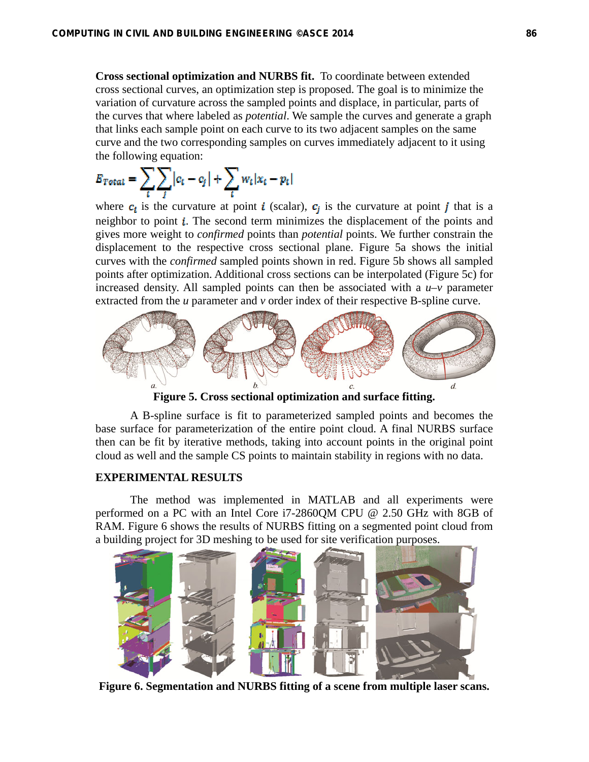**Cross sectional optimization and NURBS fit.** To coordinate between extended cross sectional curves, an optimization step is proposed. The goal is to minimize the variation of curvature across the sampled points and displace, in particular, parts of the curves that where labeled as *potential*. We sample the curves and generate a graph that links each sample point on each curve to its two adjacent samples on the same curve and the two corresponding samples on curves immediately adjacent to it using the following equation:

$$
E_{Total} = \sum_{t} \sum_{j} |c_t - c_j| + \sum_{t} w_t |x_t - p_t|
$$

where  $c_i$  is the curvature at point *i* (scalar),  $c_i$  is the curvature at point *j* that is a neighbor to point  $\mathbf{i}$ . The second term minimizes the displacement of the points and gives more weight to *confirmed* points than *potential* points. We further constrain the displacement to the respective cross sectional plane. Figure 5a shows the initial curves with the *confirmed* sampled points shown in red. Figure 5b shows all sampled points after optimization. Additional cross sections can be interpolated (Figure 5c) for increased density. All sampled points can then be associated with a  $u-v$  parameter extracted from the *u* parameter and *v* order index of their respective B-spline curve.



**Figure 5. Cross sectional optimization and surface fitting.** 

A B-spline surface is fit to parameterized sampled points and becomes the base surface for parameterization of the entire point cloud. A final NURBS surface then can be fit by iterative methods, taking into account points in the original point cloud as well and the sample CS points to maintain stability in regions with no data.

## **EXPERIMENTAL RESULTS**

The method was implemented in MATLAB and all experiments were performed on a PC with an Intel Core i7-2860QM CPU @ 2.50 GHz with 8GB of RAM. Figure 6 shows the results of NURBS fitting on a segmented point cloud from a building project for 3D meshing to be used for site verification purposes.



**Figure 6. Segmentation and NURBS fitting of a scene from multiple laser scans.**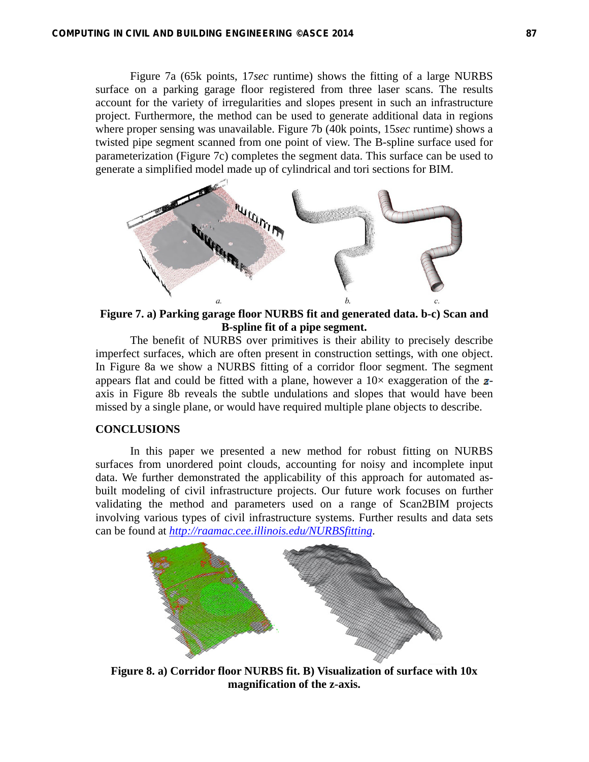Figure 7a (65k points, 17*sec* runtime) shows the fitting of a large NURBS surface on a parking garage floor registered from three laser scans. The results account for the variety of irregularities and slopes present in such an infrastructure project. Furthermore, the method can be used to generate additional data in regions where proper sensing was unavailable. Figure 7b (40k points, 15*sec* runtime) shows a twisted pipe segment scanned from one point of view. The B-spline surface used for parameterization (Figure 7c) completes the segment data. This surface can be used to generate a simplified model made up of cylindrical and tori sections for BIM.



**Figure 7. a) Parking garage floor NURBS fit and generated data. b-c) Scan and B-spline fit of a pipe segment.** 

The benefit of NURBS over primitives is their ability to precisely describe imperfect surfaces, which are often present in construction settings, with one object. In Figure 8a we show a NURBS fitting of a corridor floor segment. The segment appears flat and could be fitted with a plane, however a  $10\times$  exaggeration of the  $z$ axis in Figure 8b reveals the subtle undulations and slopes that would have been missed by a single plane, or would have required multiple plane objects to describe.

## **CONCLUSIONS**

In this paper we presented a new method for robust fitting on NURBS surfaces from unordered point clouds, accounting for noisy and incomplete input data. We further demonstrated the applicability of this approach for automated asbuilt modeling of civil infrastructure projects. Our future work focuses on further validating the method and parameters used on a range of Scan2BIM projects involving various types of civil infrastructure systems. Further results and data sets can be found at *http://raamac.cee.illinois.edu/NURBSfitting*.



**Figure 8. a) Corridor floor NURBS fit. B) Visualization of surface with 10x magnification of the z-axis.**